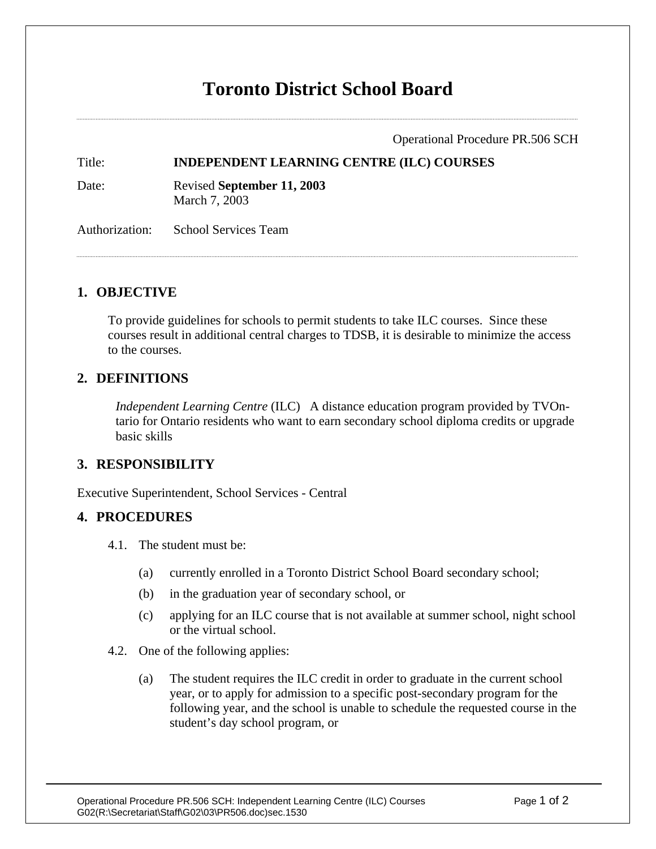# **Toronto District School Board**

Operational Procedure PR.506 SCH

Title: **INDEPENDENT LEARNING CENTRE (ILC) COURSES** 

Date: Revised **September 11, 2003**

March 7, 2003

Authorization: School Services Team

### **1. OBJECTIVE**

To provide guidelines for schools to permit students to take ILC courses. Since these courses result in additional central charges to TDSB, it is desirable to minimize the access to the courses.

#### **2. DEFINITIONS**

*Independent Learning Centre* (ILC) A distance education program provided by TVOntario for Ontario residents who want to earn secondary school diploma credits or upgrade basic skills

## **3. RESPONSIBILITY**

Executive Superintendent, School Services - Central

#### **4. PROCEDURES**

- 4.1. The student must be:
	- (a) currently enrolled in a Toronto District School Board secondary school;
	- (b) in the graduation year of secondary school, or
	- (c) applying for an ILC course that is not available at summer school, night school or the virtual school.
- 4.2. One of the following applies:
	- (a) The student requires the ILC credit in order to graduate in the current school year, or to apply for admission to a specific post-secondary program for the following year, and the school is unable to schedule the requested course in the student's day school program, or